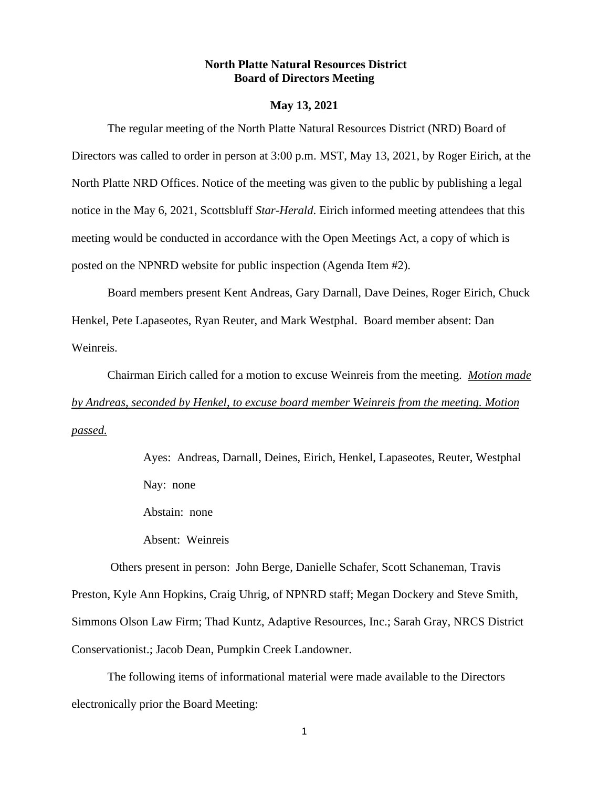## **North Platte Natural Resources District Board of Directors Meeting**

### **May 13, 2021**

The regular meeting of the North Platte Natural Resources District (NRD) Board of Directors was called to order in person at 3:00 p.m. MST, May 13, 2021, by Roger Eirich, at the North Platte NRD Offices. Notice of the meeting was given to the public by publishing a legal notice in the May 6, 2021, Scottsbluff *Star-Herald*. Eirich informed meeting attendees that this meeting would be conducted in accordance with the Open Meetings Act, a copy of which is posted on the NPNRD website for public inspection (Agenda Item #2).

Board members present Kent Andreas, Gary Darnall, Dave Deines, Roger Eirich, Chuck Henkel, Pete Lapaseotes, Ryan Reuter, and Mark Westphal. Board member absent: Dan Weinreis.

Chairman Eirich called for a motion to excuse Weinreis from the meeting. *Motion made by Andreas, seconded by Henkel, to excuse board member Weinreis from the meeting. Motion passed.*

> Ayes: Andreas, Darnall, Deines, Eirich, Henkel, Lapaseotes, Reuter, Westphal Nay: none

Abstain: none

Absent: Weinreis

Others present in person: John Berge, Danielle Schafer, Scott Schaneman, Travis Preston, Kyle Ann Hopkins, Craig Uhrig, of NPNRD staff; Megan Dockery and Steve Smith, Simmons Olson Law Firm; Thad Kuntz, Adaptive Resources, Inc.; Sarah Gray, NRCS District Conservationist.; Jacob Dean, Pumpkin Creek Landowner.

The following items of informational material were made available to the Directors electronically prior the Board Meeting: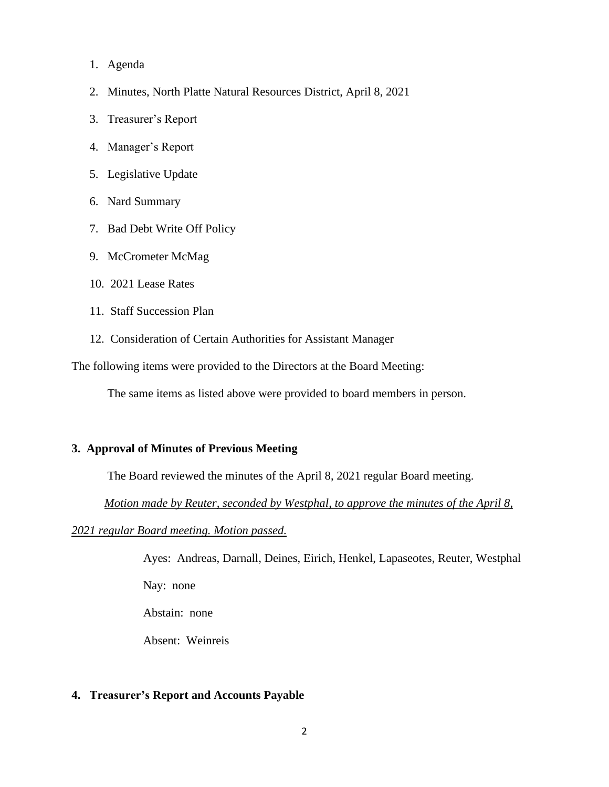- 1. Agenda
- 2. Minutes, North Platte Natural Resources District, April 8, 2021
- 3. Treasurer's Report
- 4. Manager's Report
- 5. Legislative Update
- 6. Nard Summary
- 7. Bad Debt Write Off Policy
- 9. McCrometer McMag
- 10. 2021 Lease Rates
- 11. Staff Succession Plan
- 12. Consideration of Certain Authorities for Assistant Manager

The following items were provided to the Directors at the Board Meeting:

The same items as listed above were provided to board members in person.

## **3. Approval of Minutes of Previous Meeting**

The Board reviewed the minutes of the April 8, 2021 regular Board meeting.

 *Motion made by Reuter, seconded by Westphal, to approve the minutes of the April 8,* 

*2021 regular Board meeting. Motion passed.*

Ayes: Andreas, Darnall, Deines, Eirich, Henkel, Lapaseotes, Reuter, Westphal

Nay: none

Abstain: none

Absent: Weinreis

## **4. Treasurer's Report and Accounts Payable**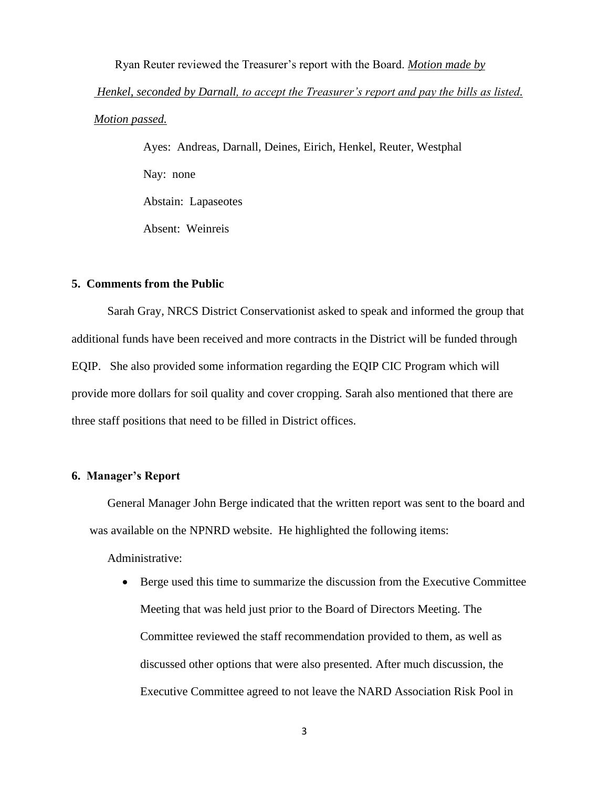Ryan Reuter reviewed the Treasurer's report with the Board. *Motion made by Henkel, seconded by Darnall, to accept the Treasurer's report and pay the bills as listed. Motion passed.*

> Ayes: Andreas, Darnall, Deines, Eirich, Henkel, Reuter, Westphal Nay: none Abstain: Lapaseotes Absent: Weinreis

## **5. Comments from the Public**

Sarah Gray, NRCS District Conservationist asked to speak and informed the group that additional funds have been received and more contracts in the District will be funded through EQIP. She also provided some information regarding the EQIP CIC Program which will provide more dollars for soil quality and cover cropping. Sarah also mentioned that there are three staff positions that need to be filled in District offices.

## **6. Manager's Report**

General Manager John Berge indicated that the written report was sent to the board and was available on the NPNRD website. He highlighted the following items:

Administrative:

• Berge used this time to summarize the discussion from the Executive Committee Meeting that was held just prior to the Board of Directors Meeting. The Committee reviewed the staff recommendation provided to them, as well as discussed other options that were also presented. After much discussion, the Executive Committee agreed to not leave the NARD Association Risk Pool in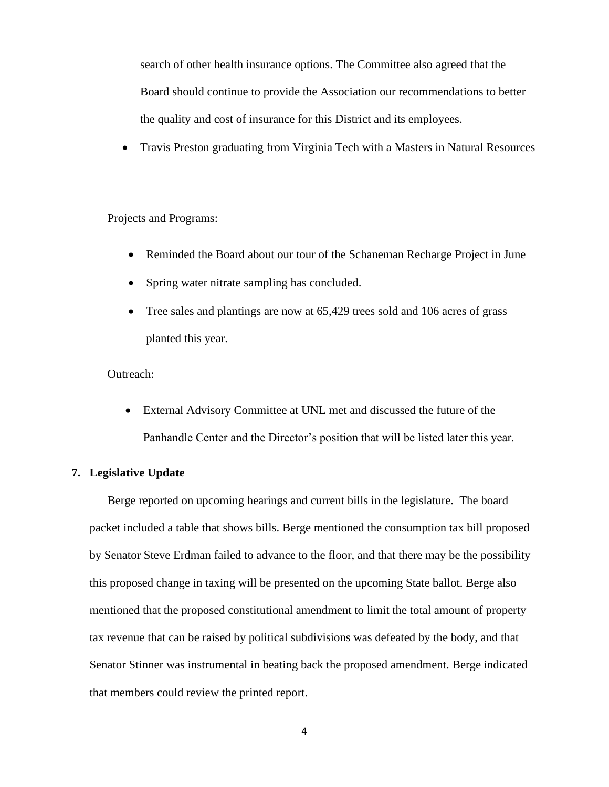search of other health insurance options. The Committee also agreed that the Board should continue to provide the Association our recommendations to better the quality and cost of insurance for this District and its employees.

• Travis Preston graduating from Virginia Tech with a Masters in Natural Resources

## Projects and Programs:

- Reminded the Board about our tour of the Schaneman Recharge Project in June
- Spring water nitrate sampling has concluded.
- Tree sales and plantings are now at 65,429 trees sold and 106 acres of grass planted this year.

## Outreach:

• External Advisory Committee at UNL met and discussed the future of the Panhandle Center and the Director's position that will be listed later this year.

## **7. Legislative Update**

Berge reported on upcoming hearings and current bills in the legislature. The board packet included a table that shows bills. Berge mentioned the consumption tax bill proposed by Senator Steve Erdman failed to advance to the floor, and that there may be the possibility this proposed change in taxing will be presented on the upcoming State ballot. Berge also mentioned that the proposed constitutional amendment to limit the total amount of property tax revenue that can be raised by political subdivisions was defeated by the body, and that Senator Stinner was instrumental in beating back the proposed amendment. Berge indicated that members could review the printed report.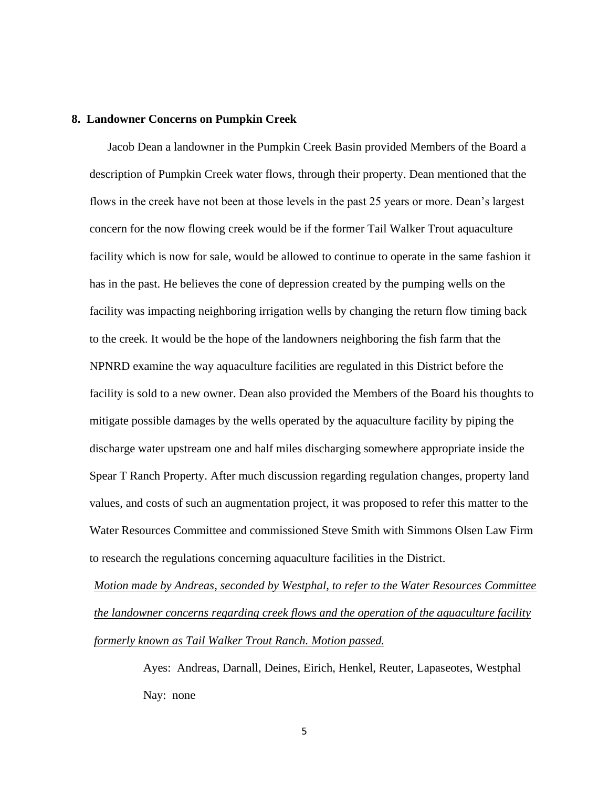#### **8. Landowner Concerns on Pumpkin Creek**

Jacob Dean a landowner in the Pumpkin Creek Basin provided Members of the Board a description of Pumpkin Creek water flows, through their property. Dean mentioned that the flows in the creek have not been at those levels in the past 25 years or more. Dean's largest concern for the now flowing creek would be if the former Tail Walker Trout aquaculture facility which is now for sale, would be allowed to continue to operate in the same fashion it has in the past. He believes the cone of depression created by the pumping wells on the facility was impacting neighboring irrigation wells by changing the return flow timing back to the creek. It would be the hope of the landowners neighboring the fish farm that the NPNRD examine the way aquaculture facilities are regulated in this District before the facility is sold to a new owner. Dean also provided the Members of the Board his thoughts to mitigate possible damages by the wells operated by the aquaculture facility by piping the discharge water upstream one and half miles discharging somewhere appropriate inside the Spear T Ranch Property. After much discussion regarding regulation changes, property land values, and costs of such an augmentation project, it was proposed to refer this matter to the Water Resources Committee and commissioned Steve Smith with Simmons Olsen Law Firm to research the regulations concerning aquaculture facilities in the District.

*Motion made by Andreas, seconded by Westphal, to refer to the Water Resources Committee the landowner concerns regarding creek flows and the operation of the aquaculture facility formerly known as Tail Walker Trout Ranch. Motion passed.*

> Ayes: Andreas, Darnall, Deines, Eirich, Henkel, Reuter, Lapaseotes, Westphal Nay: none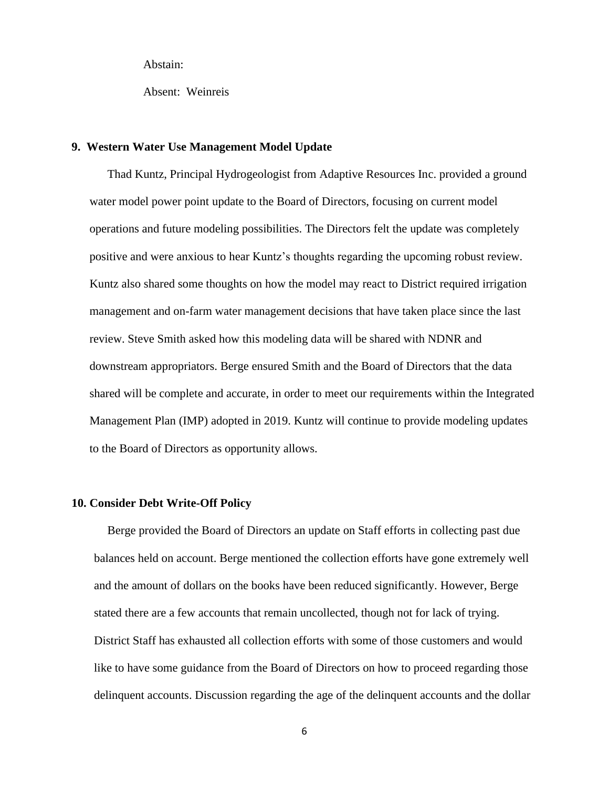Abstain:

Absent: Weinreis

## **9. Western Water Use Management Model Update**

Thad Kuntz, Principal Hydrogeologist from Adaptive Resources Inc. provided a ground water model power point update to the Board of Directors, focusing on current model operations and future modeling possibilities. The Directors felt the update was completely positive and were anxious to hear Kuntz's thoughts regarding the upcoming robust review. Kuntz also shared some thoughts on how the model may react to District required irrigation management and on-farm water management decisions that have taken place since the last review. Steve Smith asked how this modeling data will be shared with NDNR and downstream appropriators. Berge ensured Smith and the Board of Directors that the data shared will be complete and accurate, in order to meet our requirements within the Integrated Management Plan (IMP) adopted in 2019. Kuntz will continue to provide modeling updates to the Board of Directors as opportunity allows.

### **10. Consider Debt Write-Off Policy**

Berge provided the Board of Directors an update on Staff efforts in collecting past due balances held on account. Berge mentioned the collection efforts have gone extremely well and the amount of dollars on the books have been reduced significantly. However, Berge stated there are a few accounts that remain uncollected, though not for lack of trying. District Staff has exhausted all collection efforts with some of those customers and would like to have some guidance from the Board of Directors on how to proceed regarding those delinquent accounts. Discussion regarding the age of the delinquent accounts and the dollar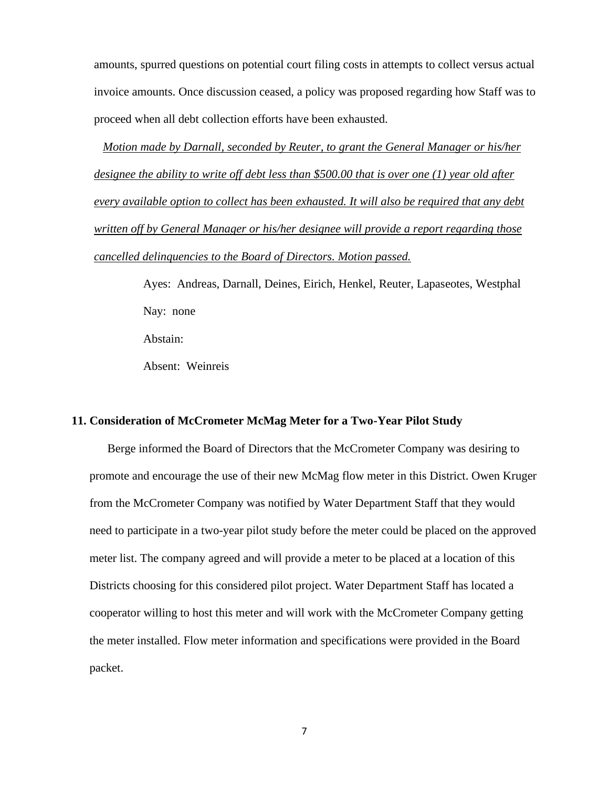amounts, spurred questions on potential court filing costs in attempts to collect versus actual invoice amounts. Once discussion ceased, a policy was proposed regarding how Staff was to proceed when all debt collection efforts have been exhausted.

 *Motion made by Darnall, seconded by Reuter, to grant the General Manager or his/her designee the ability to write off debt less than \$500.00 that is over one (1) year old after every available option to collect has been exhausted. It will also be required that any debt written off by General Manager or his/her designee will provide a report regarding those cancelled delinquencies to the Board of Directors. Motion passed.*

> Ayes: Andreas, Darnall, Deines, Eirich, Henkel, Reuter, Lapaseotes, Westphal Nay: none Abstain:

Absent: Weinreis

## **11. Consideration of McCrometer McMag Meter for a Two-Year Pilot Study**

Berge informed the Board of Directors that the McCrometer Company was desiring to promote and encourage the use of their new McMag flow meter in this District. Owen Kruger from the McCrometer Company was notified by Water Department Staff that they would need to participate in a two-year pilot study before the meter could be placed on the approved meter list. The company agreed and will provide a meter to be placed at a location of this Districts choosing for this considered pilot project. Water Department Staff has located a cooperator willing to host this meter and will work with the McCrometer Company getting the meter installed. Flow meter information and specifications were provided in the Board packet.

7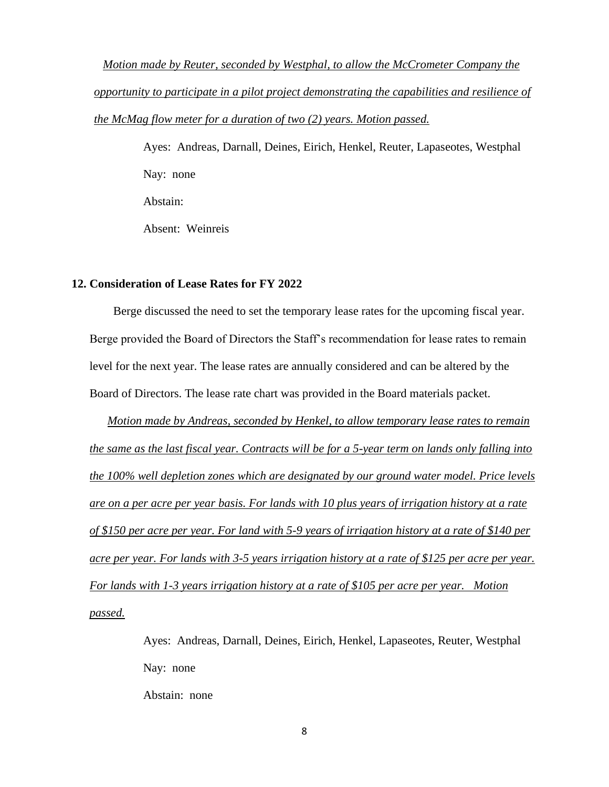*Motion made by Reuter, seconded by Westphal, to allow the McCrometer Company the opportunity to participate in a pilot project demonstrating the capabilities and resilience of the McMag flow meter for a duration of two (2) years. Motion passed.*

> Ayes: Andreas, Darnall, Deines, Eirich, Henkel, Reuter, Lapaseotes, Westphal Nay: none Abstain: Absent: Weinreis

# **12. Consideration of Lease Rates for FY 2022**

 Berge discussed the need to set the temporary lease rates for the upcoming fiscal year. Berge provided the Board of Directors the Staff's recommendation for lease rates to remain level for the next year. The lease rates are annually considered and can be altered by the Board of Directors. The lease rate chart was provided in the Board materials packet.

*Motion made by Andreas, seconded by Henkel, to allow temporary lease rates to remain the same as the last fiscal year. Contracts will be for a 5-year term on lands only falling into the 100% well depletion zones which are designated by our ground water model. Price levels are on a per acre per year basis. For lands with 10 plus years of irrigation history at a rate of \$150 per acre per year. For land with 5-9 years of irrigation history at a rate of \$140 per acre per year. For lands with 3-5 years irrigation history at a rate of \$125 per acre per year. For lands with 1-3 years irrigation history at a rate of \$105 per acre per year. Motion passed.*

> Ayes: Andreas, Darnall, Deines, Eirich, Henkel, Lapaseotes, Reuter, Westphal Nay: none Abstain: none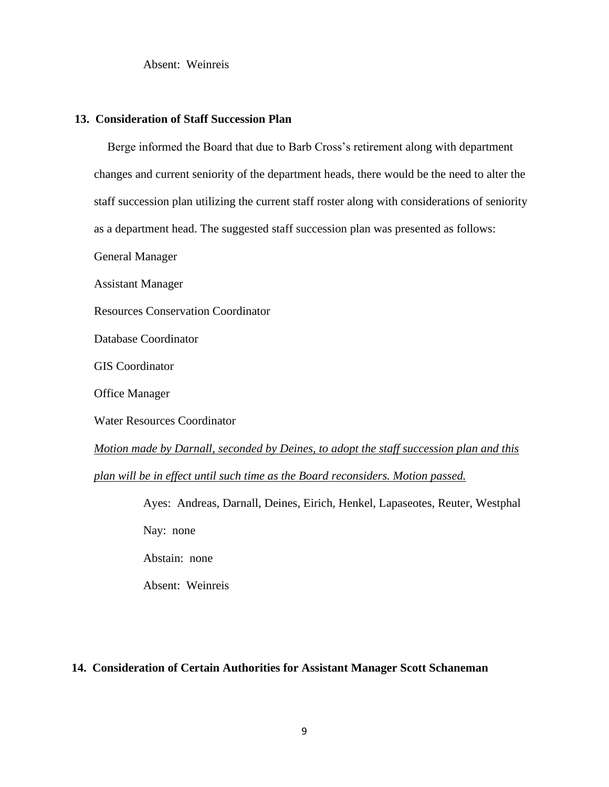Absent: Weinreis

### **13. Consideration of Staff Succession Plan**

Berge informed the Board that due to Barb Cross's retirement along with department changes and current seniority of the department heads, there would be the need to alter the staff succession plan utilizing the current staff roster along with considerations of seniority as a department head. The suggested staff succession plan was presented as follows:

General Manager

Assistant Manager

Resources Conservation Coordinator

Database Coordinator

GIS Coordinator

Office Manager

Water Resources Coordinator

*Motion made by Darnall, seconded by Deines, to adopt the staff succession plan and this* 

*plan will be in effect until such time as the Board reconsiders. Motion passed.*

Ayes: Andreas, Darnall, Deines, Eirich, Henkel, Lapaseotes, Reuter, Westphal Nay: none Abstain: none Absent: Weinreis

## **14. Consideration of Certain Authorities for Assistant Manager Scott Schaneman**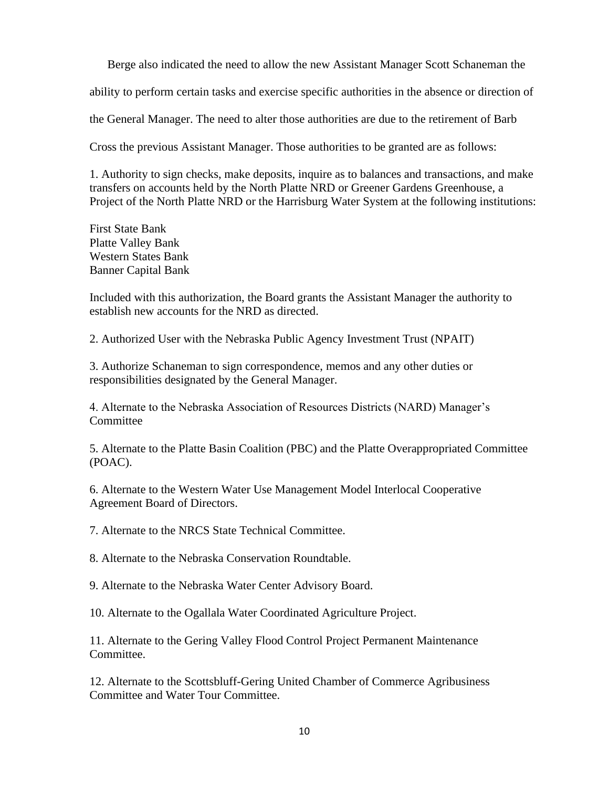Berge also indicated the need to allow the new Assistant Manager Scott Schaneman the ability to perform certain tasks and exercise specific authorities in the absence or direction of the General Manager. The need to alter those authorities are due to the retirement of Barb Cross the previous Assistant Manager. Those authorities to be granted are as follows:

1. Authority to sign checks, make deposits, inquire as to balances and transactions, and make transfers on accounts held by the North Platte NRD or Greener Gardens Greenhouse, a Project of the North Platte NRD or the Harrisburg Water System at the following institutions:

First State Bank Platte Valley Bank Western States Bank Banner Capital Bank

Included with this authorization, the Board grants the Assistant Manager the authority to establish new accounts for the NRD as directed.

2. Authorized User with the Nebraska Public Agency Investment Trust (NPAIT)

3. Authorize Schaneman to sign correspondence, memos and any other duties or responsibilities designated by the General Manager.

4. Alternate to the Nebraska Association of Resources Districts (NARD) Manager's **Committee** 

5. Alternate to the Platte Basin Coalition (PBC) and the Platte Overappropriated Committee (POAC).

6. Alternate to the Western Water Use Management Model Interlocal Cooperative Agreement Board of Directors.

7. Alternate to the NRCS State Technical Committee.

8. Alternate to the Nebraska Conservation Roundtable.

9. Alternate to the Nebraska Water Center Advisory Board.

10. Alternate to the Ogallala Water Coordinated Agriculture Project.

11. Alternate to the Gering Valley Flood Control Project Permanent Maintenance Committee.

12. Alternate to the Scottsbluff-Gering United Chamber of Commerce Agribusiness Committee and Water Tour Committee.